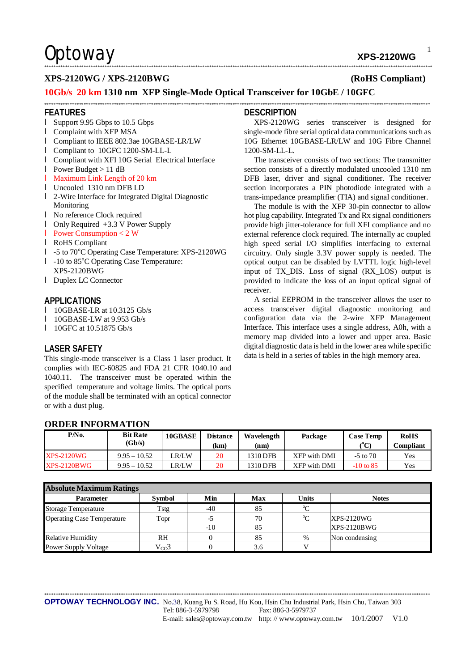1

### **XPS-2120WG / XPS-2120BWG (RoHS Compliant)**

### **10Gb/s 20 km 1310 nm XFP Single-Mode Optical Transceiver for 10GbE / 10GFC**

#### **FEATURES**

- l Support 9.95 Gbps to 10.5 Gbps
- l Complaint with XFP MSA
- l Compliant to IEEE 802.3ae 10GBASE-LR/LW
- l Compliant to 10GFC 1200-SM-LL-L
- l Compliant with XFI 10G Serial Electrical Interface
- l Power Budget > 11 dB
- l Maximum Link Length of 20 km
- l Uncooled 1310 nm DFB LD
- l 2-Wire Interface for Integrated Digital Diagnostic Monitoring
- l No reference Clock required
- l Only Required +3.3 V Power Supply
- l Power Consumption < 2 W
- l RoHS Compliant
- l -5 to 70<sup>o</sup>C Operating Case Temperature: XPS-2120WG
- $l$  -10 to 85 $^{\circ}$ C Operating Case Temperature: XPS-2120BWG
- l Duplex LC Connector

#### **APPLICATIONS**

- l 10GBASE-LR at 10.3125 Gb/s
- l 10GBASE-LW at 9.953 Gb/s

**ORDER INFORMATION** 

**l** 10GFC at 10.51875 Gb/s

### **LASER SAFETY**

This single-mode transceiver is a Class 1 laser product. It complies with IEC-60825 and FDA 21 CFR 1040.10 and 1040.11. The transceiver must be operated within the specified temperature and voltage limits. The optical ports of the module shall be terminated with an optical connector or with a dust plug.

#### **DESCRIPTION**

\*\*\*\*\*\*\*\*\*\*\*\*\*\*\*\*\*\*\*\*\*\*\*\*\*\*\*\*\*\*\*\*\*\*\*\*\*\*\*\*\*\*\*\*\*\*\*\*\*\*\*\*\*\*\*\*\*\*\*\*\*\*\*\*\*\*\*\*\*\*\*\*\*\*\*\*\*\*\*\*\*\*\*\*\*\*\*\*\*\*\*\*\*\*\*\*\*\*\*\*\*\*\*\*\*\*\*\*\*\*\*\*\*\*\*\*\*\*\*\*\*\*\*\*\*\*\*\*\*\*\*\*\*\*\*\*\*\*\*\*\*\*\*\*\*\*\*\*\*\*\*\*\*\*\*\*\*\*\*\*\*\*\*\*\*\*\*

\*\*\*\*\*\*\*\*\*\*\*\*\*\*\*\*\*\*\*\*\*\*\*\*\*\*\*\*\*\*\*\*\*\*\*\*\*\*\*\*\*\*\*\*\*\*\*\*\*\*\*\*\*\*\*\*\*\*\*\*\*\*\*\*\*\*\*\*\*\*\*\*\*\*\*\*\*\*\*\*\*\*\*\*\*\*\*\*\*\*\*\*\*\*\*\*\*\*\*\*\*\*\*\*\*\*\*\*\*\*\*\*\*\*\*\*\*\*\*\*\*\*\*\*\*\*\*\*\*\*\*\*\*\*\*\*\*\*\*\*\*\*\*\*\*\*\*\*\*\*\*\*\*\*\*\*\*\*\*\*\*\*\*\*\*\*

XPS-2120WG series transceiver is designed for single-mode fibre serial optical data communications such as 10G Ethernet 10GBASE-LR/LW and 10G Fibre Channel 1200-SM-LL-L.

The transceiver consists of two sections: The transmitter section consists of a directly modulated uncooled 1310 nm DFB laser, driver and signal conditioner. The receiver section incorporates a PIN photodiode integrated with a trans-impedance preamplifier (TIA) and signal conditioner.

The module is with the XFP 30-pin connector to allow hot plug capability. Integrated Tx and Rx signal conditioners provide high jitter-tolerance for full XFI compliance and no external reference clock required. The internally ac coupled high speed serial I/O simplifies interfacing to external circuitry. Only single 3.3V power supply is needed. The optical output can be disabled by LVTTL logic high-level input of TX\_DIS. Loss of signal (RX\_LOS) output is provided to indicate the loss of an input optical signal of receiver.

A serial EEPROM in the transceiver allows the user to access transceiver digital diagnostic monitoring and configuration data via the 2-wire XFP Management Interface. This interface uses a single address, A0h, with a memory map divided into a lower and upper area. Basic digital diagnostic data is held in the lower area while specific data is held in a series of tables in the high memory area.

| P/No.             | <b>Bit Rate</b><br>(Gb/s) | 10GBASE | <b>Distance</b><br>(km | Wavelength<br>(nm) | Package      | <b>Case Temp</b><br>(°C) | <b>RoHS</b><br>Compliant |
|-------------------|---------------------------|---------|------------------------|--------------------|--------------|--------------------------|--------------------------|
| <b>XPS-2120WG</b> | $9.95 - 10.52$            | R/LW    | 20                     | 1310 DFB           | XFP with DMI | $-5$ to $70$             | Yes                      |
| $XPS-2120BWG$     | $9.95 - 10.52$            | .R/LW   | 20                     | 1310 DFB           | XFP with DMI | $-10$ to 85              | Yes                      |

| <b>Absolute Maximum Ratings</b>   |               |       |     |              |                    |  |  |  |  |
|-----------------------------------|---------------|-------|-----|--------------|--------------------|--|--|--|--|
| <b>Parameter</b>                  | <b>Symbol</b> | Min   | Max | <b>Units</b> | <b>Notes</b>       |  |  |  |  |
| <b>Storage Temperature</b>        | Tstg          | $-40$ |     | $\sim$       |                    |  |  |  |  |
| <b>Operating Case Temperature</b> | Topr          |       | 70  | $\rm ^{o}C$  | $XPS-2120WG$       |  |  |  |  |
|                                   |               | $-10$ | 85  |              | <b>XPS-2120BWG</b> |  |  |  |  |
| <b>Relative Humidity</b>          | RH            |       | 85  | $\%$         | Non condensing     |  |  |  |  |
| <b>Power Supply Voltage</b>       | $V_{CC}$      |       | 3.6 |              |                    |  |  |  |  |

#### **OPTOWAY TECHNOLOGY INC.** No.38, Kuang Fu S. Road, Hu Kou, Hsin Chu Industrial Park, Hsin Chu, Taiwan 303 Tel: 886-3-5979798 Fax: 886-3-5979737 E-mail: [sales@optoway.com.tw](mailto:sales@optoway.com.tw) http://www.optoway.com.tw  $10/1/2007$  V1.0

\*\*\*\*\*\*\*\*\*\*\*\*\*\*\*\*\*\*\*\*\*\*\*\*\*\*\*\*\*\*\*\*\*\*\*\*\*\*\*\*\*\*\*\*\*\*\*\*\*\*\*\*\*\*\*\*\*\*\*\*\*\*\*\*\*\*\*\*\*\*\*\*\*\*\*\*\*\*\*\*\*\*\*\*\*\*\*\*\*\*\*\*\*\*\*\*\*\*\*\*\*\*\*\*\*\*\*\*\*\*\*\*\*\*\*\*\*\*\*\*\*\*\*\*\*\*\*\*\*\*\*\*\*\*\*\*\*\*\*\*\*\*\*\*\*\*\*\*\*\*\*\*\*\*\*\*\*\*\*\*\*\*\*\*\*\*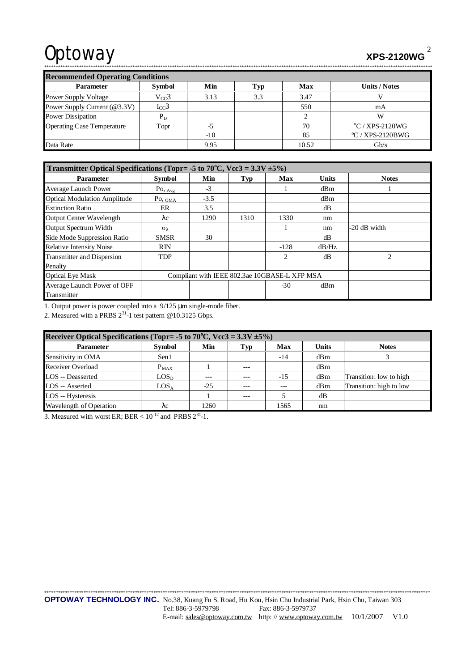# Optoway **XPS-2120WG**

| <b>Recommended Operating Conditions</b> |               |       |     |            |                          |  |  |  |
|-----------------------------------------|---------------|-------|-----|------------|--------------------------|--|--|--|
| <b>Parameter</b>                        | <b>Symbol</b> | Min   |     | <b>Max</b> | <b>Units / Notes</b>     |  |  |  |
| <b>Power Supply Voltage</b>             | $V_{CC}$ 3    | 3.13  | 3.3 | 3.47       |                          |  |  |  |
| Power Supply Current (@3.3V)            | $I_{CC}$ 3    |       |     | 550        | mA                       |  |  |  |
| <b>Power Dissipation</b>                | $P_D$         |       |     |            |                          |  |  |  |
| <b>Operating Case Temperature</b>       | Topr          | -5    |     | 70         | $\rm ^{o}C$ / XPS-2120WG |  |  |  |
|                                         |               | $-10$ |     | 85         | $\rm{°C}$ / XPS-2120BWG  |  |  |  |
| Data Rate                               |               | 9.95  |     | 10.52      | $\rm{Gb/s}$              |  |  |  |

\*\*\*\*\*\*\*\*\*\*\*\*\*\*\*\*\*\*\*\*\*\*\*\*\*\*\*\*\*\*\*\*\*\*\*\*\*\*\*\*\*\*\*\*\*\*\*\*\*\*\*\*\*\*\*\*\*\*\*\*\*\*\*\*\*\*\*\*\*\*\*\*\*\*\*\*\*\*\*\*\*\*\*\*\*\*\*\*\*\*\*\*\*\*\*\*\*\*\*\*\*\*\*\*\*\*\*\*\*\*\*\*\*\*\*\*\*\*\*\*\*\*\*\*\*\*\*\*\*\*\*\*\*\*\*\*\*\*\*\*\*\*\*\*\*\*\*\*\*\*\*\*\*\*\*\*\*\*\*\*\*\*\*\*\*\*\*

| Transmitter Optical Specifications (Topr= -5 to $70^{\circ}$ C, Vcc3 = 3.3V $\pm$ 5%) |                                               |        |      |            |              |                |  |
|---------------------------------------------------------------------------------------|-----------------------------------------------|--------|------|------------|--------------|----------------|--|
| <b>Parameter</b>                                                                      | <b>Symbol</b>                                 | Min    | Typ  | <b>Max</b> | <b>Units</b> | <b>Notes</b>   |  |
| <b>Average Launch Power</b>                                                           | $P_{\text{O}, \underline{\text{Avg}}}$        | $-3$   |      |            | dBm          |                |  |
| <b>Optical Modulation Amplitude</b>                                                   | $P_{\text{O, OMA}}$                           | $-3.5$ |      |            | dBm          |                |  |
| <b>Extinction Ratio</b>                                                               | ER                                            | 3.5    |      |            | dB           |                |  |
| <b>Output Center Wavelength</b>                                                       | $\lambda c$                                   | 1290   | 1310 | 1330       | nm           |                |  |
| Output Spectrum Width                                                                 | $\sigma_{\lambda}$                            |        |      |            | nm           | -20 dB width   |  |
| Side Mode Suppression Ratio                                                           | <b>SMSR</b>                                   | 30     |      |            | dB           |                |  |
| <b>Relative Intensity Noise</b>                                                       | <b>RIN</b>                                    |        |      | $-128$     | dB/Hz        |                |  |
| Transmitter and Dispersion                                                            | <b>TDP</b>                                    |        |      | 2          | dB           | $\overline{c}$ |  |
| Penalty                                                                               |                                               |        |      |            |              |                |  |
| <b>Optical Eye Mask</b>                                                               | Compliant with IEEE 802.3ae 10GBASE-L XFP MSA |        |      |            |              |                |  |
| Average Launch Power of OFF                                                           |                                               |        |      | $-30$      | dBm          |                |  |
| Transmitter                                                                           |                                               |        |      |            |              |                |  |

1. Output power is power coupled into a 9/125 μm single-mode fiber.

2. Measured with a PRBS  $2^{31}$ -1 test pattern @10.3125 Gbps.

| Receiver Optical Specifications (Topr= -5 to 70°C, Vcc3 = $3.3V \pm 5\%$ ) |                  |       |       |       |              |                         |  |  |
|----------------------------------------------------------------------------|------------------|-------|-------|-------|--------------|-------------------------|--|--|
| <b>Parameter</b>                                                           | <b>Symbol</b>    | Min   | Typ   | Max   | <b>Units</b> | <b>Notes</b>            |  |  |
| Sensitivity in OMA                                                         | Sen1             |       |       | $-14$ | dBm          |                         |  |  |
| Receiver Overload                                                          | $P_{MAX}$        |       | $---$ |       | dBm          |                         |  |  |
| <b>LOS</b> -- Deasserted                                                   | LOS <sub>D</sub> | ---   |       | $-15$ | dBm          | Transition: low to high |  |  |
| LOS -- Asserted                                                            | LOS <sub>A</sub> | $-25$ |       | ---   | dBm          | Transition: high to low |  |  |
| LOS -- Hysteresis                                                          |                  |       | $---$ |       | dB           |                         |  |  |
| Wavelength of Operation                                                    | λc               | 1260  |       | 1565  | nm           |                         |  |  |

3. Measured with worst ER; BER  $< 10^{-12}$  and PRBS  $2^{31}$ -1.

\*\*\*\*\*\*\*\*\*\*\*\*\*\*\*\*\*\*\*\*\*\*\*\*\*\*\*\*\*\*\*\*\*\*\*\*\*\*\*\*\*\*\*\*\*\*\*\*\*\*\*\*\*\*\*\*\*\*\*\*\*\*\*\*\*\*\*\*\*\*\*\*\*\*\*\*\*\*\*\*\*\*\*\*\*\*\*\*\*\*\*\*\*\*\*\*\*\*\*\*\*\*\*\*\*\*\*\*\*\*\*\*\*\*\*\*\*\*\*\*\*\*\*\*\*\*\*\*\*\*\*\*\*\*\*\*\*\*\*\*\*\*\*\*\*\*\*\*\*\*\*\*\*\*\*\*\*\*\*\*\*\*\*\*\*\* **OPTOWAY TECHNOLOGY INC.** No.38, Kuang Fu S. Road, Hu Kou, Hsin Chu Industrial Park, Hsin Chu, Taiwan 303 Tel: 886-3-5979798 Fax: 886-3-5979737 E-mail: [sales@optoway.com.tw](mailto:sales@optoway.com.tw) http: // [www.optoway.com.tw](http://www.optoway.com.tw) 10/1/2007 V1.0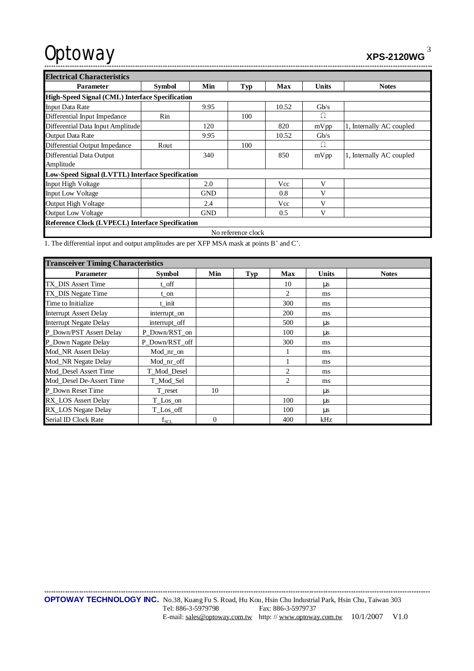# Optoway

 $XPS-2120WG$ <sup>3</sup>

| . <u>.</u> |
|------------|
|            |

| <b>Electrical Characteristics</b>                |                                                         |            |     |            |              |                          |  |  |  |  |
|--------------------------------------------------|---------------------------------------------------------|------------|-----|------------|--------------|--------------------------|--|--|--|--|
| <b>Parameter</b>                                 | <b>Symbol</b>                                           | Min        | Typ | <b>Max</b> | <b>Units</b> | <b>Notes</b>             |  |  |  |  |
|                                                  | High-Speed Signal (CML) Interface Specification         |            |     |            |              |                          |  |  |  |  |
| <b>Input Data Rate</b>                           |                                                         | 9.95       |     | 10.52      | $\rm{Gb/s}$  |                          |  |  |  |  |
| Differential Input Impedance                     | Rin                                                     |            | 100 |            | Ω            |                          |  |  |  |  |
| Differential Data Input Amplitude                |                                                         | 120        |     | 820        | mVpp         | 1, Internally AC coupled |  |  |  |  |
| <b>Output Data Rate</b>                          |                                                         | 9.95       |     | 10.52      | Gb/s         |                          |  |  |  |  |
| Differential Output Impedance                    | Rout                                                    |            | 100 |            | Ω            |                          |  |  |  |  |
| Differential Data Output<br>Amplitude            |                                                         | 340        |     | 850        | mVpp         | 1, Internally AC coupled |  |  |  |  |
| Low-Speed Signal (LVTTL) Interface Specification |                                                         |            |     |            |              |                          |  |  |  |  |
| Input High Voltage                               |                                                         | 2.0        |     | Vcc        | V            |                          |  |  |  |  |
| <b>Input Low Voltage</b>                         |                                                         | <b>GND</b> |     | 0.8        | V            |                          |  |  |  |  |
| <b>Output High Voltage</b>                       |                                                         | 2.4        |     | Vcc        | V            |                          |  |  |  |  |
| <b>Output Low Voltage</b>                        |                                                         | <b>GND</b> |     | 0.5        | V            |                          |  |  |  |  |
|                                                  | <b>Reference Clock (LVPECL) Interface Specification</b> |            |     |            |              |                          |  |  |  |  |
| No reference clock                               |                                                         |            |     |            |              |                          |  |  |  |  |

1. The differential input and output amplitudes are per XFP MSA mask at points B' and C'.

| <b>Transceiver Timing Characteristics</b> |                |          |            |            |              |              |  |  |
|-------------------------------------------|----------------|----------|------------|------------|--------------|--------------|--|--|
| <b>Parameter</b>                          | <b>Symbol</b>  | Min      | <b>Typ</b> | <b>Max</b> | <b>Units</b> | <b>Notes</b> |  |  |
| TX DIS Assert Time                        | t_off          |          |            | 10         | $\mu s$      |              |  |  |
| TX_DIS Negate Time                        | t on           |          |            | 2          | ms           |              |  |  |
| Time to Initialize                        | t init         |          |            | 300        | ms           |              |  |  |
| <b>Interrupt Assert Delay</b>             | interrupt_on   |          |            | 200        | ms           |              |  |  |
| <b>Interrupt Negate Delay</b>             | interrupt_off  |          |            | 500        | μs           |              |  |  |
| P Down/PST Assert Delay                   | P_Down/RST_on  |          |            | 100        | $\mu s$      |              |  |  |
| P_Down Nagate Delay                       | P Down/RST off |          |            | 300        | ms           |              |  |  |
| Mod NR Assert Delay                       | Mod_nr_on      |          |            |            | ms           |              |  |  |
| Mod_NR Negate Delay                       | Mod_nr_off     |          |            |            | ms           |              |  |  |
| Mod_Desel Assert Time                     | T_Mod_Desel    |          |            | 2          | ms           |              |  |  |
| Mod_Desel De-Assert Time                  | T_Mod_Sel      |          |            | 2          | ms           |              |  |  |
| P_Down Reset Time                         | T_reset        | 10       |            |            | μs           |              |  |  |
| RX_LOS Assert Delay                       | T_Los_on       |          |            | 100        | $\mu s$      |              |  |  |
| RX_LOS Negate Delay                       | T_Los_off      |          |            | 100        | μs           |              |  |  |
| Serial ID Clock Rate                      | $f_{SCL}$      | $\Omega$ |            | 400        | kHz          |              |  |  |

\*\*\*\*\*\*\*\*\*\*\*\*\*\*\*\*\*\*\*\*\*\*\*\*\*\*\*\*\*\*\*\*\*\*\*\*\*\*\*\*\*\*\*\*\*\*\*\*\*\*\*\*\*\*\*\*\*\*\*\*\*\*\*\*\*\*\*\*\*\*\*\*\*\*\*\*\*\*\*\*\*\*\*\*\*\*\*\*\*\*\*\*\*\*\*\*\*\*\*\*\*\*\*\*\*\*\*\*\*\*\*\*\*\*\*\*\*\*\*\*\*\*\*\*\*\*\*\*\*\*\*\*\*\*\*\*\*\*\*\*\*\*\*\*\*\*\*\*\*\*\*\*\*\*\*\*\*\*\*\*\*\*\*\*\*\* **OPTOWAY TECHNOLOGY INC.** No.38, Kuang Fu S. Road, Hu Kou, Hsin Chu Industrial Park, Hsin Chu, Taiwan 303 Tel: 886-3-5979798 Fax: 886-3-5979737 E-mail: [sales@optoway.com.tw](mailto:sales@optoway.com.tw) http://www.optoway.com.tw 10/1/2007 V1.0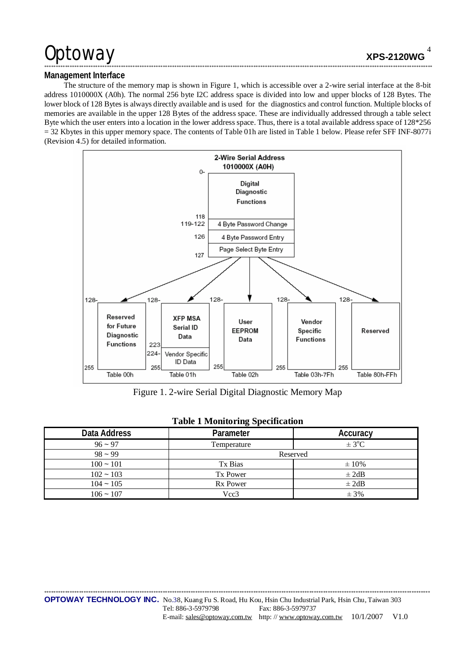## Optoway

### Management Interface

The structure of the memory map is shown in Figure 1, which is accessible over a 2-wire serial interface at the 8-bit address 1010000X (A0h). The normal 256 byte I2C address space is divided into low and upper blocks of 128 Bytes. The lower block of 128 Bytes is always directly available and is used for the diagnostics and control function. Multiple blocks of memories are available in the upper 128 Bytes of the address space. These are individually addressed through a table select Byte which the user enters into a location in the lower address space. Thus, there is a total available address space of 128\*256  $=$  32 Kbytes in this upper memory space. The contents of Table 01h are listed in Table 1 below. Please refer SFF INF-8077i (Revision 4.5) for detailed information.



Figure 1. 2-wire Serial Digital Diagnostic Memory Map

|              | 1.4011          |                        |
|--------------|-----------------|------------------------|
| Data Address | Parameter       | Accuracy               |
| $96 - 97$    | Temperature     | $\pm$ 3 <sup>o</sup> C |
| $98 - 99$    | Reserved        |                        |
| $100 - 101$  | Tx Bias         | $\pm 10\%$             |
| $102 - 103$  | Tx Power        | $\pm 2dB$              |
| $104 - 105$  | <b>Rx Power</b> | $\pm 2dB$              |
| $106 - 107$  | Vcc3            | $\pm$ 3%               |

### **Table 1 Monitoring Specification**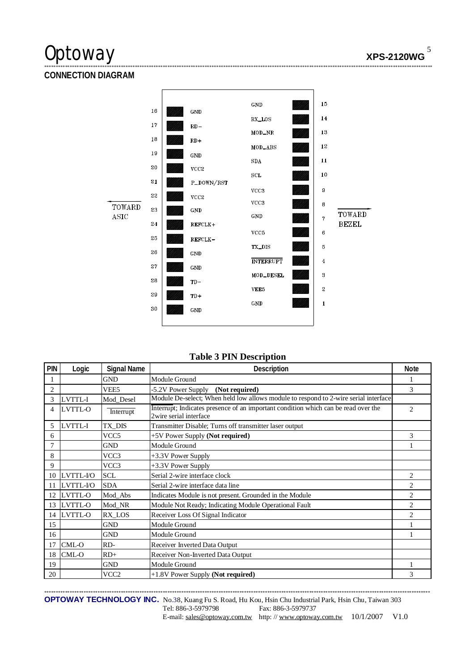# Optoway **XPS-2120WG**

## **CONNECTION DIAGRAM**



\*\*\*\*\*\*\*\*\*\*\*\*\*\*\*\*\*\*\*\*\*\*\*\*\*\*\*\*\*\*\*\*\*\*\*\*\*\*\*\*\*\*\*\*\*\*\*\*\*\*\*\*\*\*\*\*\*\*\*\*\*\*\*\*\*\*\*\*\*\*\*\*\*\*\*\*\*\*\*\*\*\*\*\*\*\*\*\*\*\*\*\*\*\*\*\*\*\*\*\*\*\*\*\*\*\*\*\*\*\*\*\*\*\*\*\*\*\*\*\*\*\*\*\*\*\*\*\*\*\*\*\*\*\*\*\*\*\*\*\*\*\*\*\*\*\*\*\*\*\*\*\*\*\*\*\*\*\*\*\*\*\*\*\*\*\*\*

### **Table 3 PIN Description**

| PIN | Logic          | <b>Signal Name</b> | Description                                                                                                  | <b>Note</b>    |
|-----|----------------|--------------------|--------------------------------------------------------------------------------------------------------------|----------------|
|     |                | <b>GND</b>         | Module Ground                                                                                                |                |
| 2   |                | VEE <sub>5</sub>   | -5.2V Power Supply (Not required)                                                                            | 3              |
| 3   | LVTTL-I        | Mod Desel          | Module De-select; When held low allows module to respond to 2-wire serial interface                          |                |
| 4   | LVTTL-O        | Interrupt          | Interrupt; Indicates presence of an important condition which can be read over the<br>2wire serial interface | 2              |
| 5   | LVTTL-I        | TX DIS             | Transmitter Disable; Turns off transmitter laser output                                                      |                |
| 6   |                | VCC <sub>5</sub>   | +5V Power Supply (Not required)                                                                              | 3              |
| 7   |                | <b>GND</b>         | Module Ground                                                                                                |                |
| 8   |                | VCC3               | +3.3V Power Supply                                                                                           |                |
| 9   |                | VCC3               | +3.3V Power Supply                                                                                           |                |
| 10  | LVTTL-I/O      | <b>SCL</b>         | Serial 2-wire interface clock                                                                                | $\overline{c}$ |
| 11  | LVTTL-I/O      | <b>SDA</b>         | Serial 2-wire interface data line                                                                            | 2              |
| 12  | <b>LVTTL-O</b> | Mod_Abs            | Indicates Module is not present. Grounded in the Module                                                      | $\overline{c}$ |
| 13  | LVTTL-O        | Mod NR             | Module Not Ready; Indicating Module Operational Fault                                                        | 2              |
| 14  | LVTTL-O        | RX LOS             | Receiver Loss Of Signal Indicator                                                                            | $\overline{c}$ |
| 15  |                | <b>GND</b>         | Module Ground                                                                                                |                |
| 16  |                | <b>GND</b>         | Module Ground                                                                                                |                |
| 17  | CML-O          | RD-                | Receiver Inverted Data Output                                                                                |                |
| 18  | CML-O          | $RD+$              | Receiver Non-Inverted Data Output                                                                            |                |
| 19  |                | <b>GND</b>         | Module Ground                                                                                                |                |
| 20  |                | VCC <sub>2</sub>   | +1.8V Power Supply (Not required)                                                                            | 3              |

\*\*\*\*\*\*\*\*\*\*\*\*\*\*\*\*\*\*\*\*\*\*\*\*\*\*\*\*\*\*\*\*\*\*\*\*\*\*\*\*\*\*\*\*\*\*\*\*\*\*\*\*\*\*\*\*\*\*\*\*\*\*\*\*\*\*\*\*\*\*\*\*\*\*\*\*\*\*\*\*\*\*\*\*\*\*\*\*\*\*\*\*\*\*\*\*\*\*\*\*\*\*\*\*\*\*\*\*\*\*\*\*\*\*\*\*\*\*\*\*\*\*\*\*\*\*\*\*\*\*\*\*\*\*\*\*\*\*\*\*\*\*\*\*\*\*\*\*\*\*\*\*\*\*\*\*\*\*\*\*\*\*\*\*\*\* **OPTOWAY TECHNOLOGY INC.** No.38, Kuang Fu S. Road, Hu Kou, Hsin Chu Industrial Park, Hsin Chu, Taiwan 303 Tel: 886-3-5979798 Fax: 886-3-5979737 E-mail: [sales@optoway.com.tw](mailto:sales@optoway.com.tw) http: // [www.optoway.com.tw](http://www.optoway.com.tw) 10/1/2007 V1.0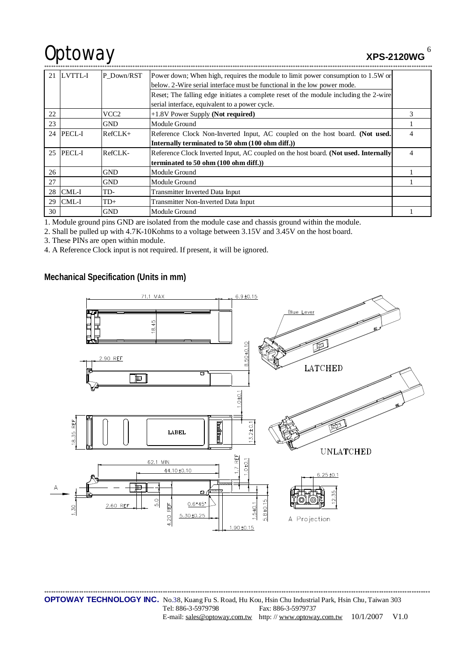# Optoway **XPS-2120WG**

6

| 21 | LVTTL-I      | P Down/RST       | Power down; When high, requires the module to limit power consumption to 1.5W or      |   |
|----|--------------|------------------|---------------------------------------------------------------------------------------|---|
|    |              |                  | below. 2-Wire serial interface must be functional in the low power mode.              |   |
|    |              |                  | Reset; The falling edge initiates a complete reset of the module including the 2-wire |   |
|    |              |                  | serial interface, equivalent to a power cycle.                                        |   |
| 22 |              | VCC <sub>2</sub> | $+1.8V$ Power Supply (Not required)                                                   | 3 |
| 23 |              | <b>GND</b>       | Module Ground                                                                         |   |
|    | 24 PECL-I    | $RefCLK+$        | Reference Clock Non-Inverted Input, AC coupled on the host board. (Not used.          | 4 |
|    |              |                  | Internally terminated to 50 ohm (100 ohm diff.))                                      |   |
|    | 25 PECL-I    | RefCLK-          | Reference Clock Inverted Input, AC coupled on the host board. (Not used. Internally   | 4 |
|    |              |                  | terminated to 50 ohm (100 ohm diff.))                                                 |   |
| 26 |              | <b>GND</b>       | Module Ground                                                                         |   |
| 27 |              | <b>GND</b>       | Module Ground                                                                         |   |
| 28 | CML-I        | TD-              | <b>Transmitter Inverted Data Input</b>                                                |   |
| 29 | <b>CML-I</b> | $TD+$            | Transmitter Non-Inverted Data Input                                                   |   |
| 30 |              | <b>GND</b>       | Module Ground                                                                         |   |

1. Module ground pins GND are isolated from the module case and chassis ground within the module.

2. Shall be pulled up with 4.7K-10Kohms to a voltage between 3.15V and 3.45V on the host board.

3. These PINs are open within module.

4. A Reference Clock input is not required. If present, it will be ignored.

**Mechanical Specification (Units in mm)** 



\*\*\*\*\*\*\*\*\*\*\*\*\*\*\*\*\*\*\*\*\*\*\*\*\*\*\*\*\*\*\*\*\*\*\*\*\*\*\*\*\*\*\*\*\*\*\*\*\*\*\*\*\*\*\*\*\*\*\*\*\*\*\*\*\*\*\*\*\*\*\*\*\*\*\*\*\*\*\*\*\*\*\*\*\*\*\*\*\*\*\*\*\*\*\*\*\*\*\*\*\*\*\*\*\*\*\*\*\*\*\*\*\*\*\*\*\*\*\*\*\*\*\*\*\*\*\*\*\*\*\*\*\*\*\*\*\*\*\*\*\*\*\*\*\*\*\*\*\*\*\*\*\*\*\*\*\*\*\*\*\*\*\*\*\*\* **OPTOWAY TECHNOLOGY INC.** No.38, Kuang Fu S. Road, Hu Kou, Hsin Chu Industrial Park, Hsin Chu, Taiwan 303 Tel: 886-3-5979798 Fax: 886-3-5979737 E-mail: [sales@optoway.com.tw](mailto:sales@optoway.com.tw) http: // [www.optoway.com.tw](http://www.optoway.com.tw) 10/1/2007 V1.0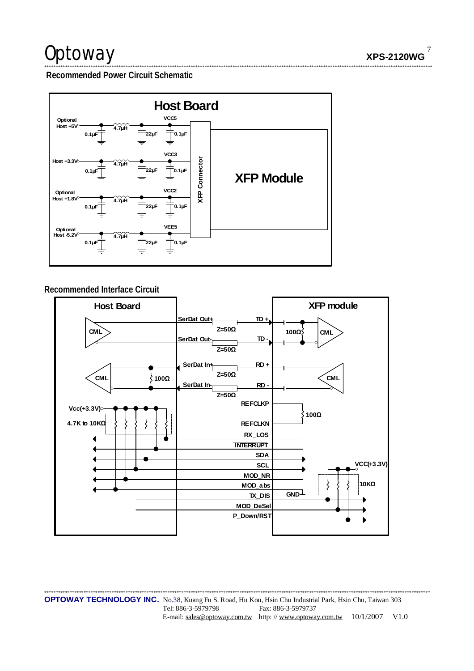# Optoway

 $\overline{7}$ **XPS-2120WG** 

Recommended Power Circuit Schematic



### Recommended Interface Circuit



**OPTOWAY TECHNOLOGY INC.** No.38, Kuang Fu S. Road, Hu Kou, Hsin Chu Industrial Park, Hsin Chu, Taiwan 303 Tel: 886-3-5979798 Fax: 886-3-5979737 E-mail: sales@optoway.com.tw http://www.optoway.com.tw 10/1/2007 V1.0